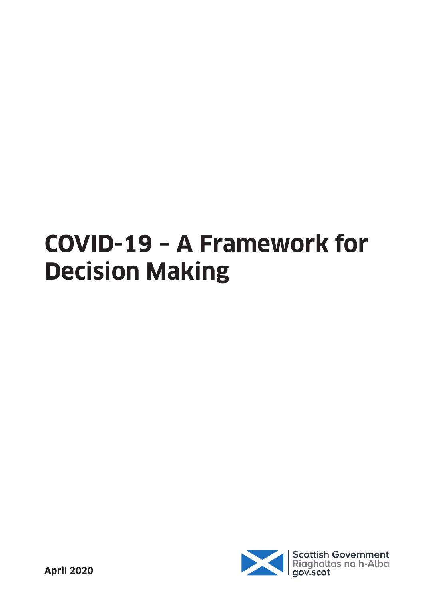# **COVID-19 – A Framework for Decision Making**

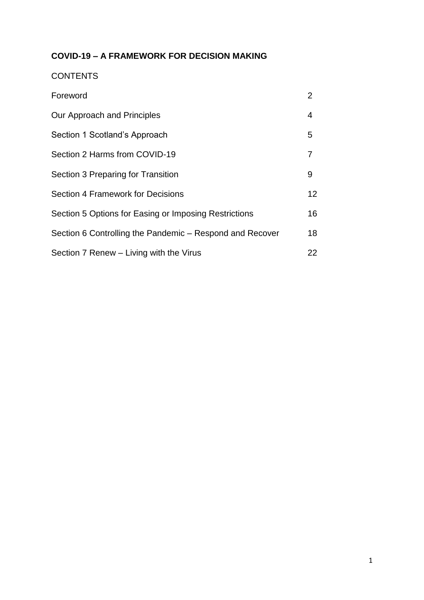### **COVID-19 – A FRAMEWORK FOR DECISION MAKING**

#### **CONTENTS**

| Foreword                                                 | 2  |
|----------------------------------------------------------|----|
| Our Approach and Principles                              | 4  |
| Section 1 Scotland's Approach                            | 5  |
| Section 2 Harms from COVID-19                            | 7  |
| Section 3 Preparing for Transition                       | 9  |
| Section 4 Framework for Decisions                        | 12 |
| Section 5 Options for Easing or Imposing Restrictions    | 16 |
| Section 6 Controlling the Pandemic – Respond and Recover | 18 |
| Section 7 Renew - Living with the Virus                  | 22 |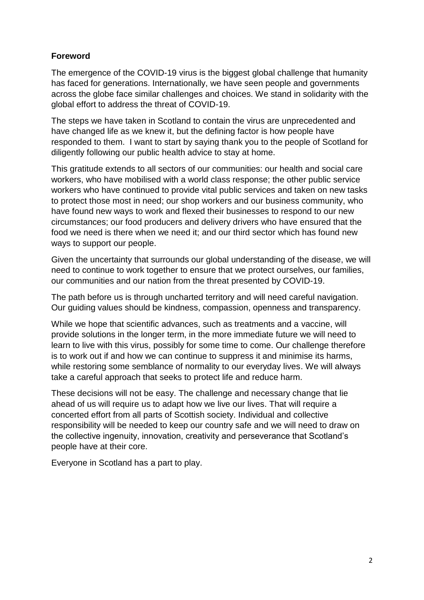#### **Foreword**

The emergence of the COVID-19 virus is the biggest global challenge that humanity has faced for generations. Internationally, we have seen people and governments across the globe face similar challenges and choices. We stand in solidarity with the global effort to address the threat of COVID-19.

The steps we have taken in Scotland to contain the virus are unprecedented and have changed life as we knew it, but the defining factor is how people have responded to them. I want to start by saying thank you to the people of Scotland for diligently following our public health advice to stay at home.

This gratitude extends to all sectors of our communities: our health and social care workers, who have mobilised with a world class response; the other public service workers who have continued to provide vital public services and taken on new tasks to protect those most in need; our shop workers and our business community, who have found new ways to work and flexed their businesses to respond to our new circumstances; our food producers and delivery drivers who have ensured that the food we need is there when we need it; and our third sector which has found new ways to support our people.

Given the uncertainty that surrounds our global understanding of the disease, we will need to continue to work together to ensure that we protect ourselves, our families, our communities and our nation from the threat presented by COVID-19.

The path before us is through uncharted territory and will need careful navigation. Our guiding values should be kindness, compassion, openness and transparency.

While we hope that scientific advances, such as treatments and a vaccine, will provide solutions in the longer term, in the more immediate future we will need to learn to live with this virus, possibly for some time to come. Our challenge therefore is to work out if and how we can continue to suppress it and minimise its harms, while restoring some semblance of normality to our everyday lives. We will always take a careful approach that seeks to protect life and reduce harm.

These decisions will not be easy. The challenge and necessary change that lie ahead of us will require us to adapt how we live our lives. That will require a concerted effort from all parts of Scottish society. Individual and collective responsibility will be needed to keep our country safe and we will need to draw on the collective ingenuity, innovation, creativity and perseverance that Scotland's people have at their core.

Everyone in Scotland has a part to play.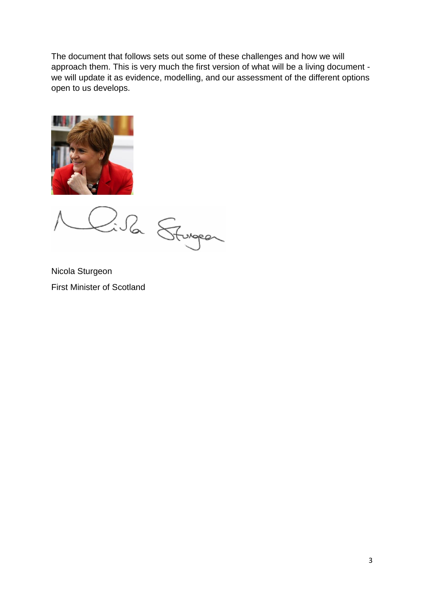The document that follows sets out some of these challenges and how we will approach them. This is very much the first version of what will be a living document we will update it as evidence, modelling, and our assessment of the different options open to us develops.



2:52 Sturgeon

Nicola Sturgeon First Minister of Scotland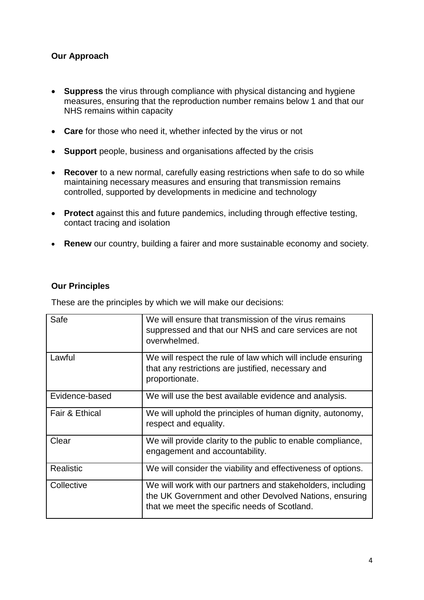#### **Our Approach**

- **Suppress** the virus through compliance with physical distancing and hygiene measures, ensuring that the reproduction number remains below 1 and that our NHS remains within capacity
- **Care** for those who need it, whether infected by the virus or not
- **Support** people, business and organisations affected by the crisis
- **Recover** to a new normal, carefully easing restrictions when safe to do so while maintaining necessary measures and ensuring that transmission remains controlled, supported by developments in medicine and technology
- **Protect** against this and future pandemics, including through effective testing, contact tracing and isolation
- **Renew** our country, building a fairer and more sustainable economy and society.

#### **Our Principles**

These are the principles by which we will make our decisions:

| Safe             | We will ensure that transmission of the virus remains<br>suppressed and that our NHS and care services are not<br>overwhelmed.                                       |
|------------------|----------------------------------------------------------------------------------------------------------------------------------------------------------------------|
| Lawful           | We will respect the rule of law which will include ensuring<br>that any restrictions are justified, necessary and<br>proportionate.                                  |
| Evidence-based   | We will use the best available evidence and analysis.                                                                                                                |
| Fair & Ethical   | We will uphold the principles of human dignity, autonomy,<br>respect and equality.                                                                                   |
| Clear            | We will provide clarity to the public to enable compliance,<br>engagement and accountability.                                                                        |
| <b>Realistic</b> | We will consider the viability and effectiveness of options.                                                                                                         |
| Collective       | We will work with our partners and stakeholders, including<br>the UK Government and other Devolved Nations, ensuring<br>that we meet the specific needs of Scotland. |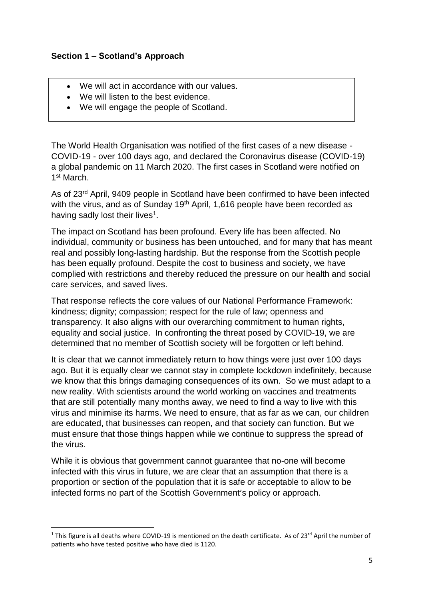#### **Section 1 – Scotland's Approach**

- We will act in accordance with our values.
- We will listen to the best evidence.
- We will engage the people of Scotland.

The World Health Organisation was notified of the first cases of a new disease - COVID-19 - over 100 days ago, and declared the Coronavirus disease (COVID-19) a global pandemic on 11 March 2020. The first cases in Scotland were notified on 1 st March.

As of 23<sup>rd</sup> April, 9409 people in Scotland have been confirmed to have been infected with the virus, and as of Sunday 19<sup>th</sup> April, 1,616 people have been recorded as having sadly lost their lives<sup>1</sup>.

The impact on Scotland has been profound. Every life has been affected. No individual, community or business has been untouched, and for many that has meant real and possibly long-lasting hardship. But the response from the Scottish people has been equally profound. Despite the cost to business and society, we have complied with restrictions and thereby reduced the pressure on our health and social care services, and saved lives.

That response reflects the core values of our National Performance Framework: kindness; dignity; compassion; respect for the rule of law; openness and transparency. It also aligns with our overarching commitment to human rights, equality and social justice. In confronting the threat posed by COVID-19, we are determined that no member of Scottish society will be forgotten or left behind.

It is clear that we cannot immediately return to how things were just over 100 days ago. But it is equally clear we cannot stay in complete lockdown indefinitely, because we know that this brings damaging consequences of its own. So we must adapt to a new reality. With scientists around the world working on vaccines and treatments that are still potentially many months away, we need to find a way to live with this virus and minimise its harms. We need to ensure, that as far as we can, our children are educated, that businesses can reopen, and that society can function. But we must ensure that those things happen while we continue to suppress the spread of the virus.

While it is obvious that government cannot guarantee that no-one will become infected with this virus in future, we are clear that an assumption that there is a proportion or section of the population that it is safe or acceptable to allow to be infected forms no part of the Scottish Government's policy or approach.

**.** 

<sup>&</sup>lt;sup>1</sup> This figure is all deaths where COVID-19 is mentioned on the death certificate. As of 23<sup>rd</sup> April the number of patients who have tested positive who have died is 1120.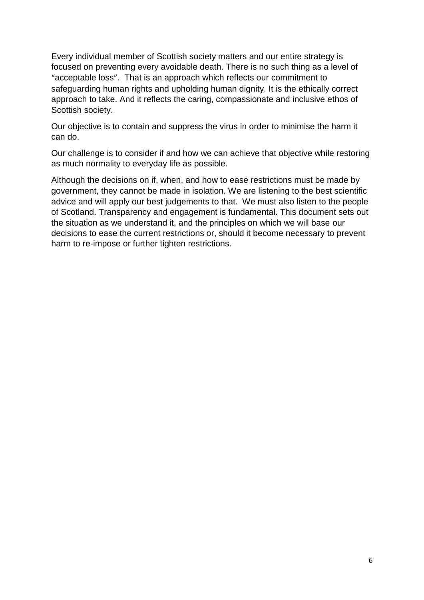Every individual member of Scottish society matters and our entire strategy is focused on preventing every avoidable death. There is no such thing as a level of "acceptable loss". That is an approach which reflects our commitment to safeguarding human rights and upholding human dignity. It is the ethically correct approach to take. And it reflects the caring, compassionate and inclusive ethos of Scottish society.

Our objective is to contain and suppress the virus in order to minimise the harm it can do.

Our challenge is to consider if and how we can achieve that objective while restoring as much normality to everyday life as possible.

Although the decisions on if, when, and how to ease restrictions must be made by government, they cannot be made in isolation. We are listening to the best scientific advice and will apply our best judgements to that. We must also listen to the people of Scotland. Transparency and engagement is fundamental. This document sets out the situation as we understand it, and the principles on which we will base our decisions to ease the current restrictions or, should it become necessary to prevent harm to re-impose or further tighten restrictions.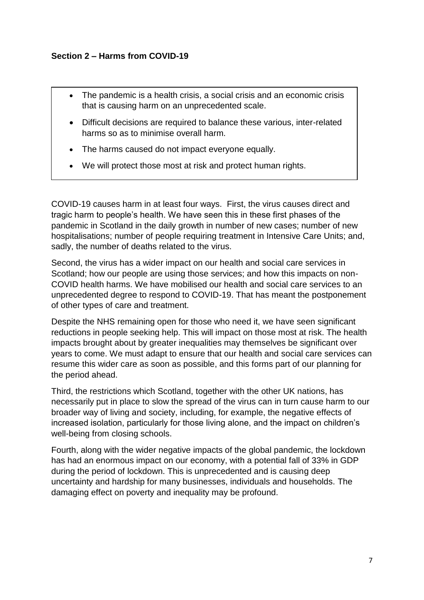#### **Section 2 – Harms from COVID-19**

- The pandemic is a health crisis, a social crisis and an economic crisis that is causing harm on an unprecedented scale.
- Difficult decisions are required to balance these various, inter-related harms so as to minimise overall harm.
- The harms caused do not impact everyone equally.
- We will protect those most at risk and protect human rights.

COVID-19 causes harm in at least four ways. First, the virus causes direct and tragic harm to people's health. We have seen this in these first phases of the pandemic in Scotland in the daily growth in number of new cases; number of new hospitalisations; number of people requiring treatment in Intensive Care Units; and, sadly, the number of deaths related to the virus.

Second, the virus has a wider impact on our health and social care services in Scotland; how our people are using those services; and how this impacts on non-COVID health harms. We have mobilised our health and social care services to an unprecedented degree to respond to COVID-19. That has meant the postponement of other types of care and treatment.

Despite the NHS remaining open for those who need it, we have seen significant reductions in people seeking help. This will impact on those most at risk. The health impacts brought about by greater inequalities may themselves be significant over years to come. We must adapt to ensure that our health and social care services can resume this wider care as soon as possible, and this forms part of our planning for the period ahead.

Third, the restrictions which Scotland, together with the other UK nations, has necessarily put in place to slow the spread of the virus can in turn cause harm to our broader way of living and society, including, for example, the negative effects of increased isolation, particularly for those living alone, and the impact on children's well-being from closing schools.

Fourth, along with the wider negative impacts of the global pandemic, the lockdown has had an enormous impact on our economy, with a potential fall of 33% in GDP during the period of lockdown. This is unprecedented and is causing deep uncertainty and hardship for many businesses, individuals and households. The damaging effect on poverty and inequality may be profound.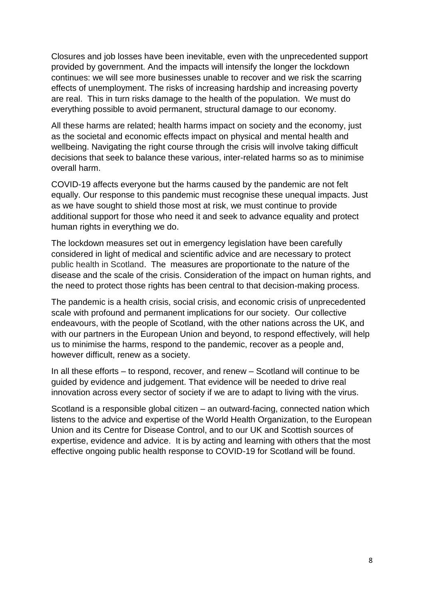Closures and job losses have been inevitable, even with the unprecedented support provided by government. And the impacts will intensify the longer the lockdown continues: we will see more businesses unable to recover and we risk the scarring effects of unemployment. The risks of increasing hardship and increasing poverty are real. This in turn risks damage to the health of the population. We must do everything possible to avoid permanent, structural damage to our economy.

All these harms are related; health harms impact on society and the economy, just as the societal and economic effects impact on physical and mental health and wellbeing. Navigating the right course through the crisis will involve taking difficult decisions that seek to balance these various, inter-related harms so as to minimise overall harm.

COVID-19 affects everyone but the harms caused by the pandemic are not felt equally. Our response to this pandemic must recognise these unequal impacts. Just as we have sought to shield those most at risk, we must continue to provide additional support for those who need it and seek to advance equality and protect human rights in everything we do.

The lockdown measures set out in emergency legislation have been carefully considered in light of medical and scientific advice and are necessary to protect public health in Scotland. The measures are proportionate to the nature of the disease and the scale of the crisis. Consideration of the impact on human rights, and the need to protect those rights has been central to that decision-making process.

The pandemic is a health crisis, social crisis, and economic crisis of unprecedented scale with profound and permanent implications for our society. Our collective endeavours, with the people of Scotland, with the other nations across the UK, and with our partners in the European Union and beyond, to respond effectively, will help us to minimise the harms, respond to the pandemic, recover as a people and, however difficult, renew as a society.

In all these efforts – to respond, recover, and renew – Scotland will continue to be guided by evidence and judgement. That evidence will be needed to drive real innovation across every sector of society if we are to adapt to living with the virus.

Scotland is a responsible global citizen – an outward-facing, connected nation which listens to the advice and expertise of the World Health Organization, to the European Union and its Centre for Disease Control, and to our UK and Scottish sources of expertise, evidence and advice. It is by acting and learning with others that the most effective ongoing public health response to COVID-19 for Scotland will be found.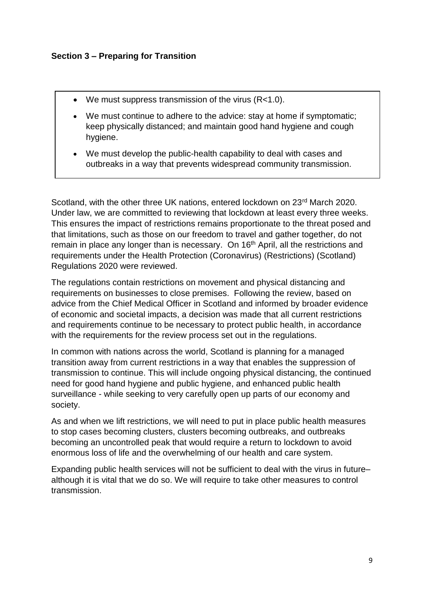- $\bullet$  We must suppress transmission of the virus (R<1.0).
- We must continue to adhere to the advice: stay at home if symptomatic; keep physically distanced; and maintain good hand hygiene and cough hygiene.
- We must develop the public-health capability to deal with cases and outbreaks in a way that prevents widespread community transmission.

Scotland, with the other three UK nations, entered lockdown on 23<sup>rd</sup> March 2020. Under law, we are committed to reviewing that lockdown at least every three weeks. This ensures the impact of restrictions remains proportionate to the threat posed and that limitations, such as those on our freedom to travel and gather together, do not remain in place any longer than is necessary. On 16<sup>th</sup> April, all the restrictions and requirements under the Health Protection (Coronavirus) (Restrictions) (Scotland) Regulations 2020 were reviewed.

The regulations contain restrictions on movement and physical distancing and requirements on businesses to close premises. Following the review, based on advice from the Chief Medical Officer in Scotland and informed by broader evidence of economic and societal impacts, a decision was made that all current restrictions and requirements continue to be necessary to protect public health, in accordance with the requirements for the review process set out in the regulations.

In common with nations across the world, Scotland is planning for a managed transition away from current restrictions in a way that enables the suppression of transmission to continue. This will include ongoing physical distancing, the continued need for good hand hygiene and public hygiene, and enhanced public health surveillance - while seeking to very carefully open up parts of our economy and society.

As and when we lift restrictions, we will need to put in place public health measures to stop cases becoming clusters, clusters becoming outbreaks, and outbreaks becoming an uncontrolled peak that would require a return to lockdown to avoid enormous loss of life and the overwhelming of our health and care system.

Expanding public health services will not be sufficient to deal with the virus in future– although it is vital that we do so. We will require to take other measures to control transmission.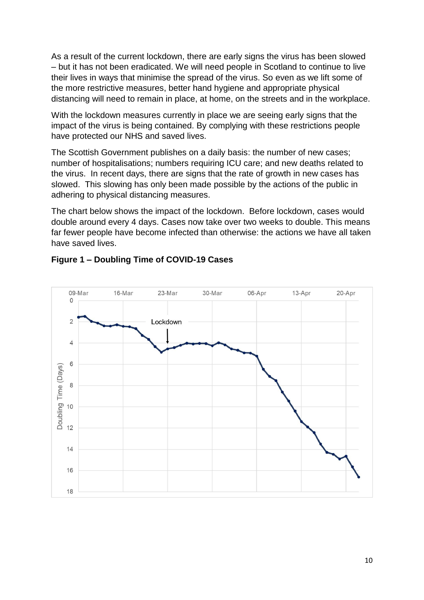As a result of the current lockdown, there are early signs the virus has been slowed – but it has not been eradicated. We will need people in Scotland to continue to live their lives in ways that minimise the spread of the virus. So even as we lift some of the more restrictive measures, better hand hygiene and appropriate physical distancing will need to remain in place, at home, on the streets and in the workplace.

With the lockdown measures currently in place we are seeing early signs that the impact of the virus is being contained. By complying with these restrictions people have protected our NHS and saved lives.

The Scottish Government publishes on a daily basis: the number of new cases; number of hospitalisations; numbers requiring ICU care; and new deaths related to the virus. In recent days, there are signs that the rate of growth in new cases has slowed. This slowing has only been made possible by the actions of the public in adhering to physical distancing measures.

The chart below shows the impact of the lockdown. Before lockdown, cases would double around every 4 days. Cases now take over two weeks to double. This means far fewer people have become infected than otherwise: the actions we have all taken have saved lives.



#### **Figure 1 – Doubling Time of COVID-19 Cases**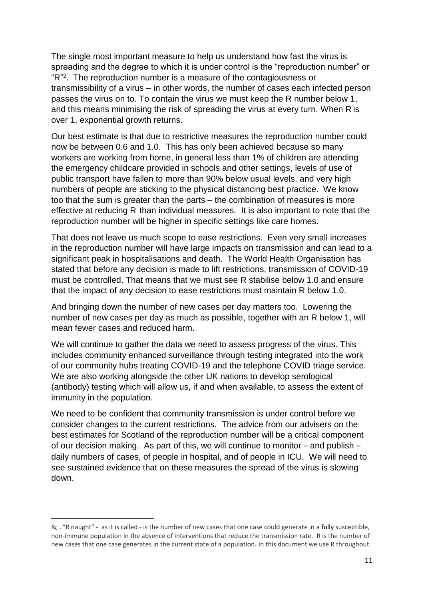The single most important measure to help us understand how fast the virus is spreading and the degree to which it is under control is the "reproduction number" or "R" 2 . The reproduction number is a measure of the contagiousness or transmissibility of a virus – in other words, the number of cases each infected person passes the virus on to. To contain the virus we must keep the R number below 1, and this means minimising the risk of spreading the virus at every turn. When R is over 1, exponential growth returns.

Our best estimate is that due to restrictive measures the reproduction number could now be between 0.6 and 1.0. This has only been achieved because so many workers are working from home, in general less than 1% of children are attending the emergency childcare provided in schools and other settings, levels of use of public transport have fallen to more than 90% below usual levels, and very high numbers of people are sticking to the physical distancing best practice. We know too that the sum is greater than the parts – the combination of measures is more effective at reducing R than individual measures. It is also important to note that the reproduction number will be higher in specific settings like care homes.

That does not leave us much scope to ease restrictions. Even very small increases in the reproduction number will have large impacts on transmission and can lead to a significant peak in hospitalisations and death. The World Health Organisation has stated that before any decision is made to lift restrictions, transmission of COVID-19 must be controlled. That means that we must see R stabilise below 1.0 and ensure that the impact of any decision to ease restrictions must maintain R below 1.0.

And bringing down the number of new cases per day matters too. Lowering the number of new cases per day as much as possible, together with an R below 1, will mean fewer cases and reduced harm.

We will continue to gather the data we need to assess progress of the virus. This includes community enhanced surveillance through testing integrated into the work of our community hubs treating COVID-19 and the telephone COVID triage service. We are also working alongside the other UK nations to develop serological (antibody) testing which will allow us, if and when available, to assess the extent of immunity in the population.

We need to be confident that community transmission is under control before we consider changes to the current restrictions. The advice from our advisers on the best estimates for Scotland of the reproduction number will be a critical component of our decision making. As part of this, we will continue to monitor – and publish – daily numbers of cases, of people in hospital, and of people in ICU. We will need to see sustained evidence that on these measures the spread of the virus is slowing down.

**.** 

R0 - "R naught" - as it is called - is the number of new cases that one case could generate in a fully susceptible, non-immune population in the absence of interventions that reduce the transmission rate. R is the number of new cases that one case generates in the current state of a population**.** In this document we use R throughout.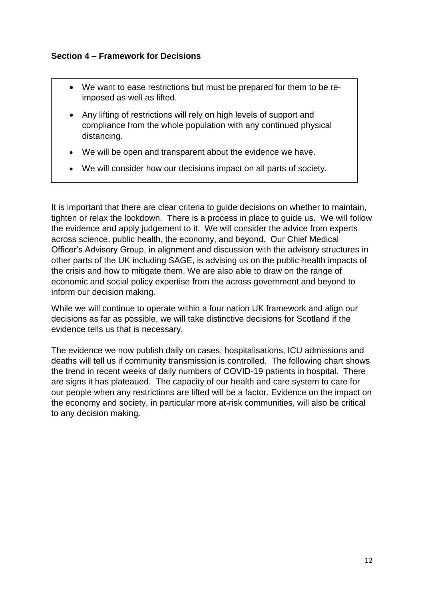#### **Section 4 – Framework for Decisions**

- We want to ease restrictions but must be prepared for them to be reimposed as well as lifted.
- Any lifting of restrictions will rely on high levels of support and compliance from the whole population with any continued physical distancing.
- We will be open and transparent about the evidence we have.
- We will consider how our decisions impact on all parts of society.

It is important that there are clear criteria to guide decisions on whether to maintain, tighten or relax the lockdown. There is a process in place to guide us. We will follow the evidence and apply judgement to it. We will consider the advice from experts across science, public health, the economy, and beyond. Our Chief Medical Officer's Advisory Group, in alignment and discussion with the advisory structures in other parts of the UK including SAGE, is advising us on the public-health impacts of the crisis and how to mitigate them. We are also able to draw on the range of economic and social policy expertise from the across government and beyond to inform our decision making.

While we will continue to operate within a four nation UK framework and align our decisions as far as possible, we will take distinctive decisions for Scotland if the evidence tells us that is necessary.

The evidence we now publish daily on cases, hospitalisations, ICU admissions and deaths will tell us if community transmission is controlled. The following chart shows the trend in recent weeks of daily numbers of COVID-19 patients in hospital. There are signs it has plateaued. The capacity of our health and care system to care for our people when any restrictions are lifted will be a factor. Evidence on the impact on the economy and society, in particular more at-risk communities, will also be critical to any decision making.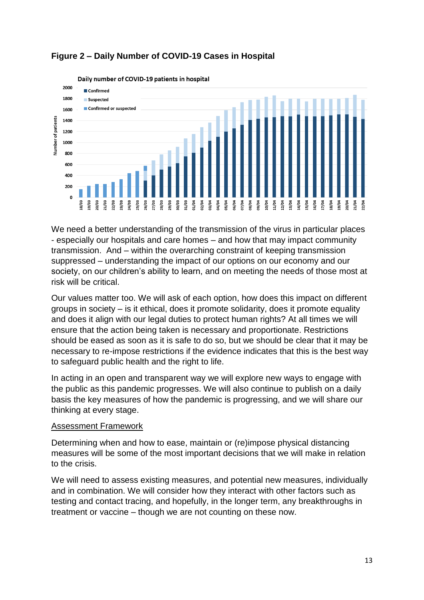

#### **Figure 2 – Daily Number of COVID-19 Cases in Hospital**

We need a better understanding of the transmission of the virus in particular places - especially our hospitals and care homes – and how that may impact community transmission. And – within the overarching constraint of keeping transmission suppressed – understanding the impact of our options on our economy and our society, on our children's ability to learn, and on meeting the needs of those most at risk will be critical.

Our values matter too. We will ask of each option, how does this impact on different groups in society – is it ethical, does it promote solidarity, does it promote equality and does it align with our legal duties to protect human rights? At all times we will ensure that the action being taken is necessary and proportionate. Restrictions should be eased as soon as it is safe to do so, but we should be clear that it may be necessary to re-impose restrictions if the evidence indicates that this is the best way to safeguard public health and the right to life.

In acting in an open and transparent way we will explore new ways to engage with the public as this pandemic progresses. We will also continue to publish on a daily basis the key measures of how the pandemic is progressing, and we will share our thinking at every stage.

#### Assessment Framework

Determining when and how to ease, maintain or (re)impose physical distancing measures will be some of the most important decisions that we will make in relation to the crisis.

We will need to assess existing measures, and potential new measures, individually and in combination. We will consider how they interact with other factors such as testing and contact tracing, and hopefully, in the longer term, any breakthroughs in treatment or vaccine – though we are not counting on these now.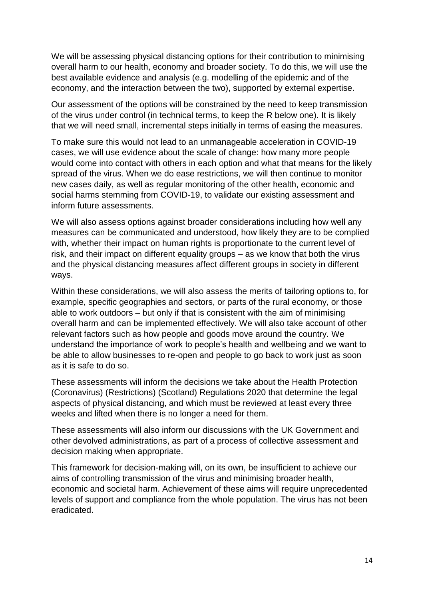We will be assessing physical distancing options for their contribution to minimising overall harm to our health, economy and broader society. To do this, we will use the best available evidence and analysis (e.g. modelling of the epidemic and of the economy, and the interaction between the two), supported by external expertise.

Our assessment of the options will be constrained by the need to keep transmission of the virus under control (in technical terms, to keep the R below one). It is likely that we will need small, incremental steps initially in terms of easing the measures.

To make sure this would not lead to an unmanageable acceleration in COVID-19 cases, we will use evidence about the scale of change: how many more people would come into contact with others in each option and what that means for the likely spread of the virus. When we do ease restrictions, we will then continue to monitor new cases daily, as well as regular monitoring of the other health, economic and social harms stemming from COVID-19, to validate our existing assessment and inform future assessments.

We will also assess options against broader considerations including how well any measures can be communicated and understood, how likely they are to be complied with, whether their impact on human rights is proportionate to the current level of risk, and their impact on different equality groups – as we know that both the virus and the physical distancing measures affect different groups in society in different ways.

Within these considerations, we will also assess the merits of tailoring options to, for example, specific geographies and sectors, or parts of the rural economy, or those able to work outdoors – but only if that is consistent with the aim of minimising overall harm and can be implemented effectively. We will also take account of other relevant factors such as how people and goods move around the country. We understand the importance of work to people's health and wellbeing and we want to be able to allow businesses to re-open and people to go back to work just as soon as it is safe to do so.

These assessments will inform the decisions we take about the Health Protection (Coronavirus) (Restrictions) (Scotland) Regulations 2020 that determine the legal aspects of physical distancing, and which must be reviewed at least every three weeks and lifted when there is no longer a need for them.

These assessments will also inform our discussions with the UK Government and other devolved administrations, as part of a process of collective assessment and decision making when appropriate.

This framework for decision-making will, on its own, be insufficient to achieve our aims of controlling transmission of the virus and minimising broader health, economic and societal harm. Achievement of these aims will require unprecedented levels of support and compliance from the whole population. The virus has not been eradicated.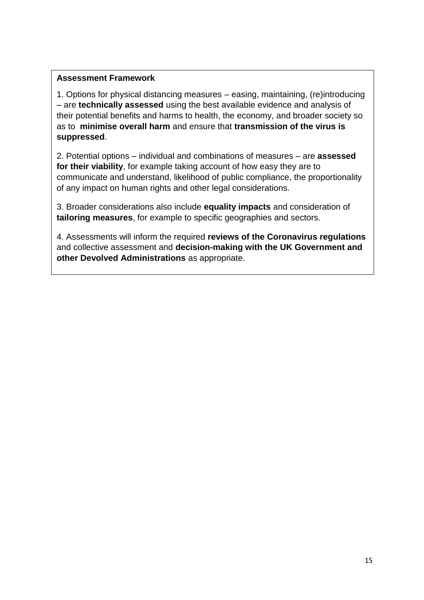#### **Assessment Framework**

1. Options for physical distancing measures – easing, maintaining, (re)introducing – are **technically assessed** using the best available evidence and analysis of their potential benefits and harms to health, the economy, and broader society so as to **minimise overall harm** and ensure that **transmission of the virus is suppressed**.

2. Potential options – individual and combinations of measures – are **assessed for their viability**, for example taking account of how easy they are to communicate and understand, likelihood of public compliance, the proportionality of any impact on human rights and other legal considerations.

3. Broader considerations also include **equality impacts** and consideration of **tailoring measures**, for example to specific geographies and sectors.

4. Assessments will inform the required **reviews of the Coronavirus regulations** and collective assessment and **decision-making with the UK Government and other Devolved Administrations** as appropriate.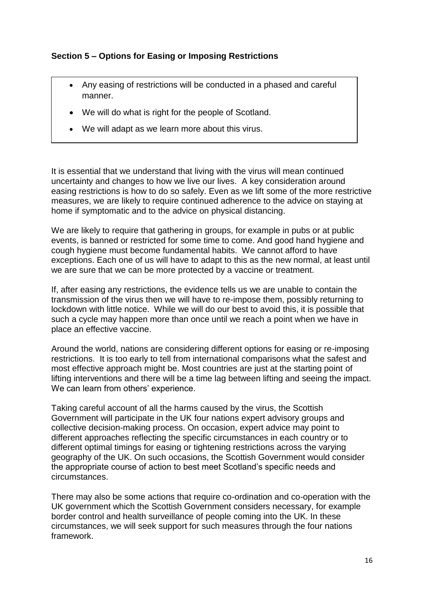#### **Section 5 – Options for Easing or Imposing Restrictions**

- Any easing of restrictions will be conducted in a phased and careful manner.
- We will do what is right for the people of Scotland.
- We will adapt as we learn more about this virus.

It is essential that we understand that living with the virus will mean continued uncertainty and changes to how we live our lives. A key consideration around easing restrictions is how to do so safely. Even as we lift some of the more restrictive measures, we are likely to require continued adherence to the advice on staying at home if symptomatic and to the advice on physical distancing.

We are likely to require that gathering in groups, for example in pubs or at public events, is banned or restricted for some time to come. And good hand hygiene and cough hygiene must become fundamental habits. We cannot afford to have exceptions. Each one of us will have to adapt to this as the new normal, at least until we are sure that we can be more protected by a vaccine or treatment.

If, after easing any restrictions, the evidence tells us we are unable to contain the transmission of the virus then we will have to re-impose them, possibly returning to lockdown with little notice. While we will do our best to avoid this, it is possible that such a cycle may happen more than once until we reach a point when we have in place an effective vaccine.

Around the world, nations are considering different options for easing or re-imposing restrictions. It is too early to tell from international comparisons what the safest and most effective approach might be. Most countries are just at the starting point of lifting interventions and there will be a time lag between lifting and seeing the impact. We can learn from others' experience.

Taking careful account of all the harms caused by the virus, the Scottish Government will participate in the UK four nations expert advisory groups and collective decision-making process. On occasion, expert advice may point to different approaches reflecting the specific circumstances in each country or to different optimal timings for easing or tightening restrictions across the varying geography of the UK. On such occasions, the Scottish Government would consider the appropriate course of action to best meet Scotland's specific needs and circumstances.

There may also be some actions that require co-ordination and co-operation with the UK government which the Scottish Government considers necessary, for example border control and health surveillance of people coming into the UK. In these circumstances, we will seek support for such measures through the four nations framework.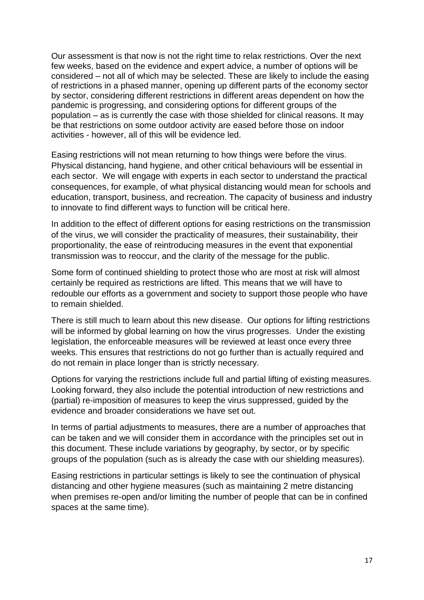Our assessment is that now is not the right time to relax restrictions. Over the next few weeks, based on the evidence and expert advice, a number of options will be considered – not all of which may be selected. These are likely to include the easing of restrictions in a phased manner, opening up different parts of the economy sector by sector, considering different restrictions in different areas dependent on how the pandemic is progressing, and considering options for different groups of the population – as is currently the case with those shielded for clinical reasons. It may be that restrictions on some outdoor activity are eased before those on indoor activities - however, all of this will be evidence led.

Easing restrictions will not mean returning to how things were before the virus. Physical distancing, hand hygiene, and other critical behaviours will be essential in each sector. We will engage with experts in each sector to understand the practical consequences, for example, of what physical distancing would mean for schools and education, transport, business, and recreation. The capacity of business and industry to innovate to find different ways to function will be critical here.

In addition to the effect of different options for easing restrictions on the transmission of the virus, we will consider the practicality of measures, their sustainability, their proportionality, the ease of reintroducing measures in the event that exponential transmission was to reoccur, and the clarity of the message for the public.

Some form of continued shielding to protect those who are most at risk will almost certainly be required as restrictions are lifted. This means that we will have to redouble our efforts as a government and society to support those people who have to remain shielded.

There is still much to learn about this new disease. Our options for lifting restrictions will be informed by global learning on how the virus progresses. Under the existing legislation, the enforceable measures will be reviewed at least once every three weeks. This ensures that restrictions do not go further than is actually required and do not remain in place longer than is strictly necessary.

Options for varying the restrictions include full and partial lifting of existing measures. Looking forward, they also include the potential introduction of new restrictions and (partial) re-imposition of measures to keep the virus suppressed, guided by the evidence and broader considerations we have set out.

In terms of partial adjustments to measures, there are a number of approaches that can be taken and we will consider them in accordance with the principles set out in this document. These include variations by geography, by sector, or by specific groups of the population (such as is already the case with our shielding measures).

Easing restrictions in particular settings is likely to see the continuation of physical distancing and other hygiene measures (such as maintaining 2 metre distancing when premises re-open and/or limiting the number of people that can be in confined spaces at the same time).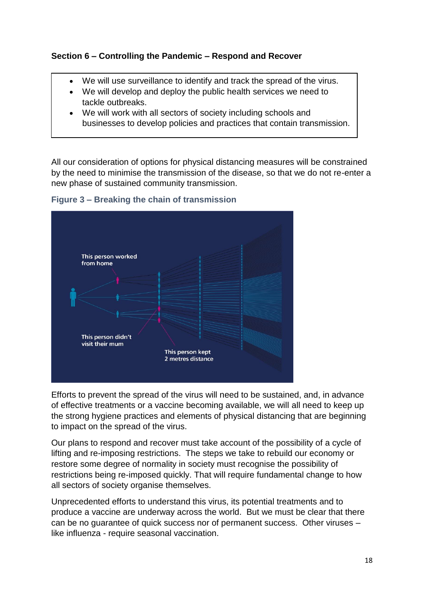#### **Section 6 – Controlling the Pandemic – Respond and Recover**

- We will use surveillance to identify and track the spread of the virus.
- We will develop and deploy the public health services we need to tackle outbreaks.
- We will work with all sectors of society including schools and businesses to develop policies and practices that contain transmission.

All our consideration of options for physical distancing measures will be constrained by the need to minimise the transmission of the disease, so that we do not re-enter a new phase of sustained community transmission.



**Figure 3 – Breaking the chain of transmission**

Efforts to prevent the spread of the virus will need to be sustained, and, in advance of effective treatments or a vaccine becoming available, we will all need to keep up the strong hygiene practices and elements of physical distancing that are beginning to impact on the spread of the virus.

Our plans to respond and recover must take account of the possibility of a cycle of lifting and re-imposing restrictions. The steps we take to rebuild our economy or restore some degree of normality in society must recognise the possibility of restrictions being re-imposed quickly. That will require fundamental change to how all sectors of society organise themselves.

Unprecedented efforts to understand this virus, its potential treatments and to produce a vaccine are underway across the world. But we must be clear that there can be no guarantee of quick success nor of permanent success. Other viruses – like influenza - require seasonal vaccination.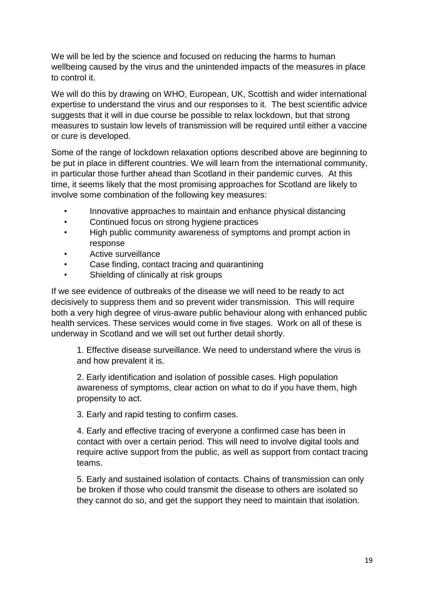We will be led by the science and focused on reducing the harms to human wellbeing caused by the virus and the unintended impacts of the measures in place to control it.

We will do this by drawing on WHO, European, UK, Scottish and wider international expertise to understand the virus and our responses to it. The best scientific advice suggests that it will in due course be possible to relax lockdown, but that strong measures to sustain low levels of transmission will be required until either a vaccine or cure is developed.

Some of the range of lockdown relaxation options described above are beginning to be put in place in different countries. We will learn from the international community, in particular those further ahead than Scotland in their pandemic curves. At this time, it seems likely that the most promising approaches for Scotland are likely to involve some combination of the following key measures:

- Innovative approaches to maintain and enhance physical distancing
- Continued focus on strong hygiene practices
- High public community awareness of symptoms and prompt action in response
- Active surveillance
- Case finding, contact tracing and quarantining
- Shielding of clinically at risk groups

If we see evidence of outbreaks of the disease we will need to be ready to act decisively to suppress them and so prevent wider transmission. This will require both a very high degree of virus-aware public behaviour along with enhanced public health services. These services would come in five stages. Work on all of these is underway in Scotland and we will set out further detail shortly.

1. Effective disease surveillance. We need to understand where the virus is and how prevalent it is.

2. Early identification and isolation of possible cases. High population awareness of symptoms, clear action on what to do if you have them, high propensity to act.

3. Early and rapid testing to confirm cases.

4. Early and effective tracing of everyone a confirmed case has been in contact with over a certain period. This will need to involve digital tools and require active support from the public, as well as support from contact tracing teams.

5. Early and sustained isolation of contacts. Chains of transmission can only be broken if those who could transmit the disease to others are isolated so they cannot do so, and get the support they need to maintain that isolation.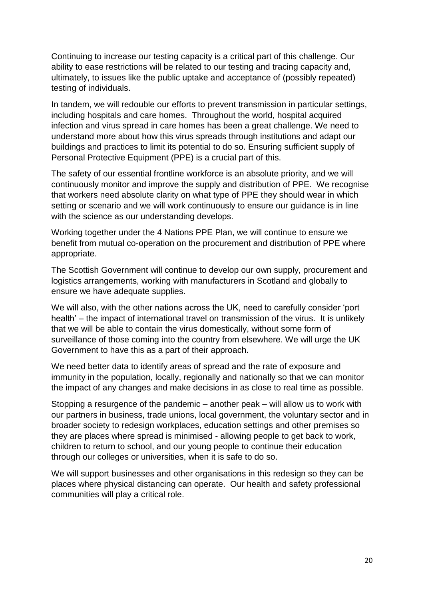Continuing to increase our testing capacity is a critical part of this challenge. Our ability to ease restrictions will be related to our testing and tracing capacity and, ultimately, to issues like the public uptake and acceptance of (possibly repeated) testing of individuals.

In tandem, we will redouble our efforts to prevent transmission in particular settings, including hospitals and care homes. Throughout the world, hospital acquired infection and virus spread in care homes has been a great challenge. We need to understand more about how this virus spreads through institutions and adapt our buildings and practices to limit its potential to do so. Ensuring sufficient supply of Personal Protective Equipment (PPE) is a crucial part of this.

The safety of our essential frontline workforce is an absolute priority, and we will continuously monitor and improve the supply and distribution of PPE. We recognise that workers need absolute clarity on what type of PPE they should wear in which setting or scenario and we will work continuously to ensure our guidance is in line with the science as our understanding develops.

Working together under the 4 Nations PPE Plan, we will continue to ensure we benefit from mutual co-operation on the procurement and distribution of PPE where appropriate.

The Scottish Government will continue to develop our own supply, procurement and logistics arrangements, working with manufacturers in Scotland and globally to ensure we have adequate supplies.

We will also, with the other nations across the UK, need to carefully consider 'port health' – the impact of international travel on transmission of the virus. It is unlikely that we will be able to contain the virus domestically, without some form of surveillance of those coming into the country from elsewhere. We will urge the UK Government to have this as a part of their approach.

We need better data to identify areas of spread and the rate of exposure and immunity in the population, locally, regionally and nationally so that we can monitor the impact of any changes and make decisions in as close to real time as possible.

Stopping a resurgence of the pandemic – another peak – will allow us to work with our partners in business, trade unions, local government, the voluntary sector and in broader society to redesign workplaces, education settings and other premises so they are places where spread is minimised - allowing people to get back to work, children to return to school, and our young people to continue their education through our colleges or universities, when it is safe to do so.

We will support businesses and other organisations in this redesign so they can be places where physical distancing can operate. Our health and safety professional communities will play a critical role.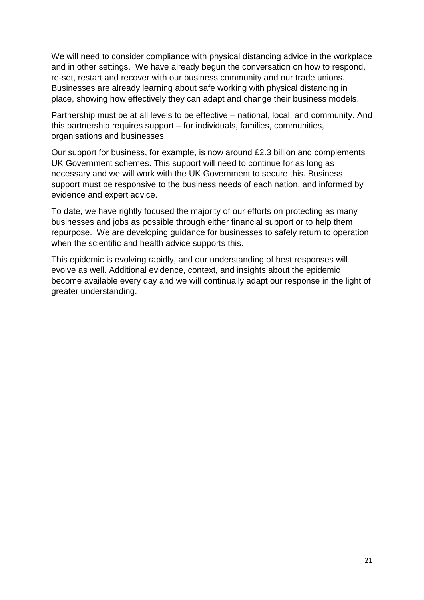We will need to consider compliance with physical distancing advice in the workplace and in other settings. We have already begun the conversation on how to respond, re-set, restart and recover with our business community and our trade unions. Businesses are already learning about safe working with physical distancing in place, showing how effectively they can adapt and change their business models.

Partnership must be at all levels to be effective – national, local, and community. And this partnership requires support – for individuals, families, communities, organisations and businesses.

Our support for business, for example, is now around £2.3 billion and complements UK Government schemes. This support will need to continue for as long as necessary and we will work with the UK Government to secure this. Business support must be responsive to the business needs of each nation, and informed by evidence and expert advice.

To date, we have rightly focused the majority of our efforts on protecting as many businesses and jobs as possible through either financial support or to help them repurpose. We are developing guidance for businesses to safely return to operation when the scientific and health advice supports this.

This epidemic is evolving rapidly, and our understanding of best responses will evolve as well. Additional evidence, context, and insights about the epidemic become available every day and we will continually adapt our response in the light of greater understanding.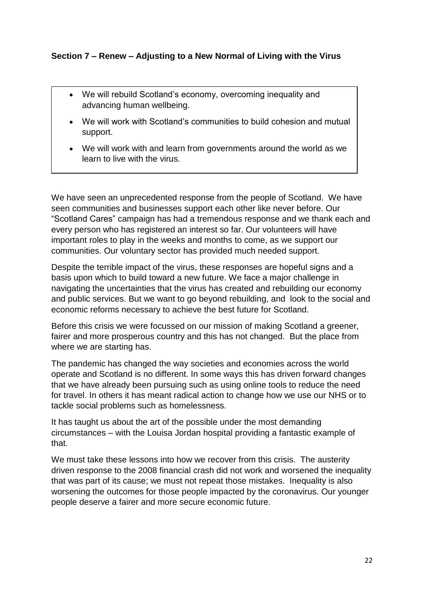#### **Section 7 – Renew – Adjusting to a New Normal of Living with the Virus**

- We will rebuild Scotland's economy, overcoming inequality and advancing human wellbeing.
- We will work with Scotland's communities to build cohesion and mutual support.
- We will work with and learn from governments around the world as we learn to live with the virus.

We have seen an unprecedented response from the people of Scotland. We have seen communities and businesses support each other like never before. Our "Scotland Cares" campaign has had a tremendous response and we thank each and every person who has registered an interest so far. Our volunteers will have important roles to play in the weeks and months to come, as we support our communities. Our voluntary sector has provided much needed support.

Despite the terrible impact of the virus, these responses are hopeful signs and a basis upon which to build toward a new future. We face a major challenge in navigating the uncertainties that the virus has created and rebuilding our economy and public services. But we want to go beyond rebuilding, and look to the social and economic reforms necessary to achieve the best future for Scotland.

Before this crisis we were focussed on our mission of making Scotland a greener, fairer and more prosperous country and this has not changed. But the place from where we are starting has.

The pandemic has changed the way societies and economies across the world operate and Scotland is no different. In some ways this has driven forward changes that we have already been pursuing such as using online tools to reduce the need for travel. In others it has meant radical action to change how we use our NHS or to tackle social problems such as homelessness.

It has taught us about the art of the possible under the most demanding circumstances – with the Louisa Jordan hospital providing a fantastic example of that.

We must take these lessons into how we recover from this crisis. The austerity driven response to the 2008 financial crash did not work and worsened the inequality that was part of its cause; we must not repeat those mistakes. Inequality is also worsening the outcomes for those people impacted by the coronavirus. Our younger people deserve a fairer and more secure economic future.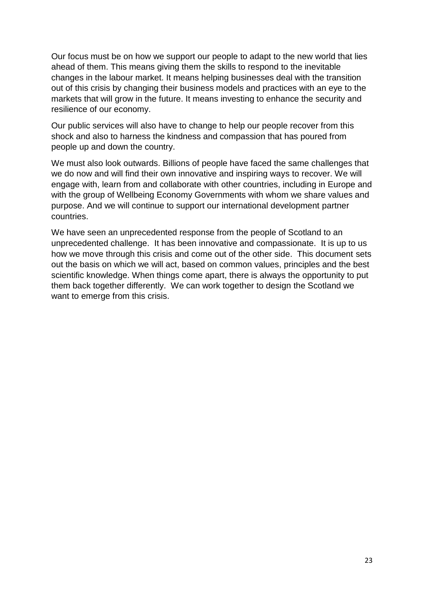Our focus must be on how we support our people to adapt to the new world that lies ahead of them. This means giving them the skills to respond to the inevitable changes in the labour market. It means helping businesses deal with the transition out of this crisis by changing their business models and practices with an eye to the markets that will grow in the future. It means investing to enhance the security and resilience of our economy.

Our public services will also have to change to help our people recover from this shock and also to harness the kindness and compassion that has poured from people up and down the country.

We must also look outwards. Billions of people have faced the same challenges that we do now and will find their own innovative and inspiring ways to recover. We will engage with, learn from and collaborate with other countries, including in Europe and with the group of Wellbeing Economy Governments with whom we share values and purpose. And we will continue to support our international development partner countries.

We have seen an unprecedented response from the people of Scotland to an unprecedented challenge. It has been innovative and compassionate. It is up to us how we move through this crisis and come out of the other side. This document sets out the basis on which we will act, based on common values, principles and the best scientific knowledge. When things come apart, there is always the opportunity to put them back together differently. We can work together to design the Scotland we want to emerge from this crisis.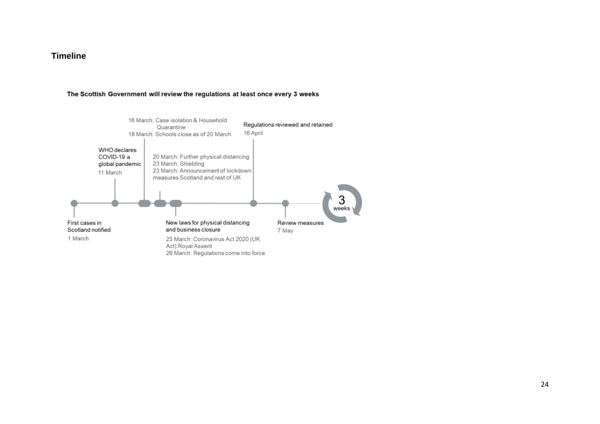#### **Timeline**

#### The Scottish Government will review the regulations at least once every 3 weeks